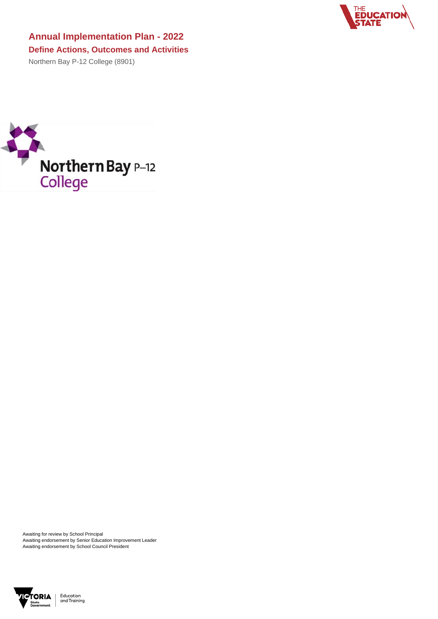Awaiting for review by School Principal Awaiting endorsement by Senior Education Improvement Leader Awaiting endorsement by School Council President





**Annual Implementation Plan - 2022 Define Actions, Outcomes and Activities** Northern Bay P-12 College (8901)

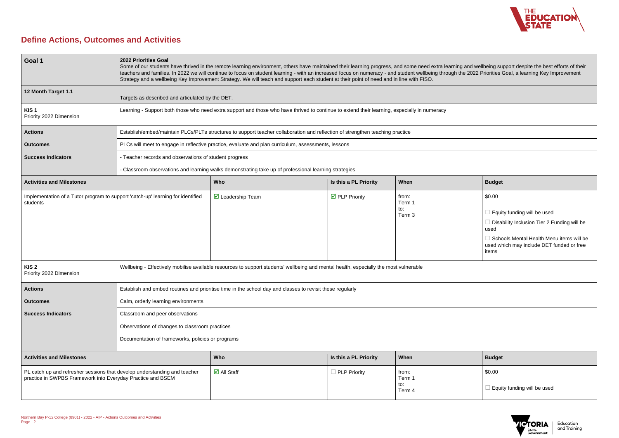

## **Define Actions, Outcomes and Activities**

| <b>Budget</b>                      |
|------------------------------------|
| \$0.00                             |
| $\Box$ Equity funding will be used |



| Goal 1                                                                                                                                   | <b>2022 Priorities Goal</b><br>Some of our students have thrived in the remote learning environment, others have maintained their learning progress, and some need extra learning and wellbeing support despite the best efforts of their<br>teachers and families. In 2022 we will continue to focus on student learning - with an increased focus on numeracy - and student wellbeing through the 2022 Priorities Goal, a learning Key Improvement<br>Strategy and a wellbeing Key Improvement Strategy. We will teach and support each student at their point of need and in line with FISO. |                                                                                                                                              |                                      |                                             |                                                                                                                                                                                                |
|------------------------------------------------------------------------------------------------------------------------------------------|-------------------------------------------------------------------------------------------------------------------------------------------------------------------------------------------------------------------------------------------------------------------------------------------------------------------------------------------------------------------------------------------------------------------------------------------------------------------------------------------------------------------------------------------------------------------------------------------------|----------------------------------------------------------------------------------------------------------------------------------------------|--------------------------------------|---------------------------------------------|------------------------------------------------------------------------------------------------------------------------------------------------------------------------------------------------|
| 12 Month Target 1.1                                                                                                                      | Targets as described and articulated by the DET.                                                                                                                                                                                                                                                                                                                                                                                                                                                                                                                                                |                                                                                                                                              |                                      |                                             |                                                                                                                                                                                                |
| KIS <sub>1</sub><br>Priority 2022 Dimension                                                                                              |                                                                                                                                                                                                                                                                                                                                                                                                                                                                                                                                                                                                 | Learning - Support both those who need extra support and those who have thrived to continue to extend their learning, especially in numeracy |                                      |                                             |                                                                                                                                                                                                |
| <b>Actions</b>                                                                                                                           |                                                                                                                                                                                                                                                                                                                                                                                                                                                                                                                                                                                                 | Establish/embed/maintain PLCs/PLTs structures to support teacher collaboration and reflection of strengthen teaching practice                |                                      |                                             |                                                                                                                                                                                                |
| <b>Outcomes</b>                                                                                                                          |                                                                                                                                                                                                                                                                                                                                                                                                                                                                                                                                                                                                 | PLCs will meet to engage in reflective practice, evaluate and plan curriculum, assessments, lessons                                          |                                      |                                             |                                                                                                                                                                                                |
| <b>Success Indicators</b>                                                                                                                | - Teacher records and observations of student progress                                                                                                                                                                                                                                                                                                                                                                                                                                                                                                                                          |                                                                                                                                              |                                      |                                             |                                                                                                                                                                                                |
|                                                                                                                                          |                                                                                                                                                                                                                                                                                                                                                                                                                                                                                                                                                                                                 | - Classroom observations and learning walks demonstrating take up of professional learning strategies                                        |                                      |                                             |                                                                                                                                                                                                |
| <b>Activities and Milestones</b>                                                                                                         |                                                                                                                                                                                                                                                                                                                                                                                                                                                                                                                                                                                                 | Who                                                                                                                                          | Is this a PL Priority                | When                                        | <b>Budget</b>                                                                                                                                                                                  |
| Implementation of a Tutor program to support 'catch-up' learning for identified<br>students                                              |                                                                                                                                                                                                                                                                                                                                                                                                                                                                                                                                                                                                 | $\boxtimes$ Leadership Team                                                                                                                  | $\overline{\mathbf{y}}$ PLP Priority | from:<br>Term 1<br>to:<br>Term <sub>3</sub> | \$0.00<br>Equity funding will be used<br>Disability Inclusion Tier 2 Funding will be<br>used<br>Schools Mental Health Menu items will be<br>used which may include DET funded or free<br>items |
| KIS <sub>2</sub><br>Priority 2022 Dimension                                                                                              |                                                                                                                                                                                                                                                                                                                                                                                                                                                                                                                                                                                                 | Wellbeing - Effectively mobilise available resources to support students' wellbeing and mental health, especially the most vulnerable        |                                      |                                             |                                                                                                                                                                                                |
| <b>Actions</b>                                                                                                                           |                                                                                                                                                                                                                                                                                                                                                                                                                                                                                                                                                                                                 | Establish and embed routines and prioritise time in the school day and classes to revisit these regularly                                    |                                      |                                             |                                                                                                                                                                                                |
| <b>Outcomes</b>                                                                                                                          | Calm, orderly learning environments                                                                                                                                                                                                                                                                                                                                                                                                                                                                                                                                                             |                                                                                                                                              |                                      |                                             |                                                                                                                                                                                                |
| <b>Success Indicators</b>                                                                                                                | Classroom and peer observations<br>Observations of changes to classroom practices<br>Documentation of frameworks, policies or programs                                                                                                                                                                                                                                                                                                                                                                                                                                                          |                                                                                                                                              |                                      |                                             |                                                                                                                                                                                                |
| <b>Activities and Milestones</b>                                                                                                         |                                                                                                                                                                                                                                                                                                                                                                                                                                                                                                                                                                                                 | Who                                                                                                                                          | Is this a PL Priority                | When                                        | <b>Budget</b>                                                                                                                                                                                  |
| PL catch up and refresher sessions that develop understanding and teacher<br>practice in SWPBS Framework into Everyday Practice and BSEM |                                                                                                                                                                                                                                                                                                                                                                                                                                                                                                                                                                                                 | $\overline{\mathsf{M}}$ All Staff                                                                                                            | $\Box$ PLP Priority                  | from:<br>Term 1<br>to:<br>Term 4            | \$0.00<br>Equity funding will be used                                                                                                                                                          |

| <b>Budget</b>                                                                                  |
|------------------------------------------------------------------------------------------------|
| \$0.00                                                                                         |
| Equity funding will be used                                                                    |
| Disability Inclusion Tier 2 Funding will be<br>used                                            |
| Schools Mental Health Menu items will be<br>used which may include DET funded or free<br>items |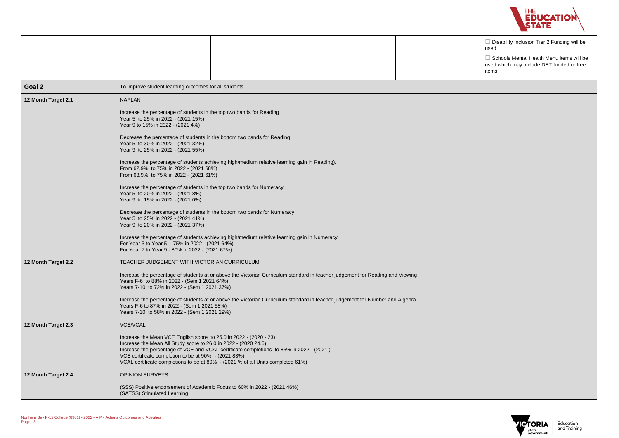

 $\square$  Disability Inclusion Tier 2 Funding will be used

 $\square$  Schools Mental Health Menu items will be used which may include DET funded or free items



| Goal 2              | To improve student learning outcomes for all students.                                                                                                                                                                                                                                                                                                                                                                                                                                                                                                                                                                                                                                                                                                                                                                                                                                                                                                                                                                        |
|---------------------|-------------------------------------------------------------------------------------------------------------------------------------------------------------------------------------------------------------------------------------------------------------------------------------------------------------------------------------------------------------------------------------------------------------------------------------------------------------------------------------------------------------------------------------------------------------------------------------------------------------------------------------------------------------------------------------------------------------------------------------------------------------------------------------------------------------------------------------------------------------------------------------------------------------------------------------------------------------------------------------------------------------------------------|
| 12 Month Target 2.1 | <b>NAPLAN</b><br>Increase the percentage of students in the top two bands for Reading<br>Year 5 to 25% in 2022 - (2021 15%)<br>Year 9 to 15% in 2022 - (2021 4%)<br>Decrease the percentage of students in the bottom two bands for Reading<br>Year 5 to 30% in 2022 - (2021 32%)<br>Year 9 to 25% in 2022 - (2021 55%)<br>Increase the percentage of students achieving high/medium relative learning gain in Reading).<br>From 62.9% to 75% in 2022 - (2021 68%)<br>From 63.9% to 75% in 2022 - (2021 61%)<br>Increase the percentage of students in the top two bands for Numeracy<br>Year 5 to 20% in 2022 - (2021 8%)<br>Year 9 to 15% in 2022 - (2021 0%)<br>Decrease the percentage of students in the bottom two bands for Numeracy<br>Year 5 to 25% in 2022 - (2021 41%)<br>Year 9 to 20% in 2022 - (2021 37%)<br>Increase the percentage of students achieving high/medium relative learning gain in Numeracy<br>For Year 3 to Year 5 - 75% in 2022 - (2021 64%)<br>For Year 7 to Year 9 - 80% in 2022 - (2021 67%) |
| 12 Month Target 2.2 | TEACHER JUDGEMENT WITH VICTORIAN CURRICULUM<br>Increase the percentage of students at or above the Victorian Curriculum standard in teacher judgement for Reading and Viewing<br>Years F-6 to 88% in 2022 - (Sem 1 2021 64%)<br>Years 7-10 to 72% in 2022 - (Sem 1 2021 37%)<br>Increase the percentage of students at or above the Victorian Curriculum standard in teacher judgement for Number and Algebra<br>Years F-6 to 87% in 2022 - (Sem 1 2021 58%)<br>Years 7-10 to 58% in 2022 - (Sem 1 2021 29%)                                                                                                                                                                                                                                                                                                                                                                                                                                                                                                                  |
| 12 Month Target 2.3 | <b>VCE/VCAL</b><br>Increase the Mean VCE English score to 25.0 in 2022 - (2020 - 23)<br>Increase the Mean All Study score to 26.0 in 2022 - (2020 24.6)<br>Increase the percentage of VCE and VCAL certificate completions to 85% in 2022 - (2021)<br>VCE certificate completion to be at 90% - (2021 83%)<br>VCAL certificate completions to be at 80% - (2021 % of all Units completed 61%)                                                                                                                                                                                                                                                                                                                                                                                                                                                                                                                                                                                                                                 |
| 12 Month Target 2.4 | <b>OPINION SURVEYS</b><br>(SSS) Positive endorsement of Academic Focus to 60% in 2022 - (2021 46%)<br>(SATSS) Stimulated Learning                                                                                                                                                                                                                                                                                                                                                                                                                                                                                                                                                                                                                                                                                                                                                                                                                                                                                             |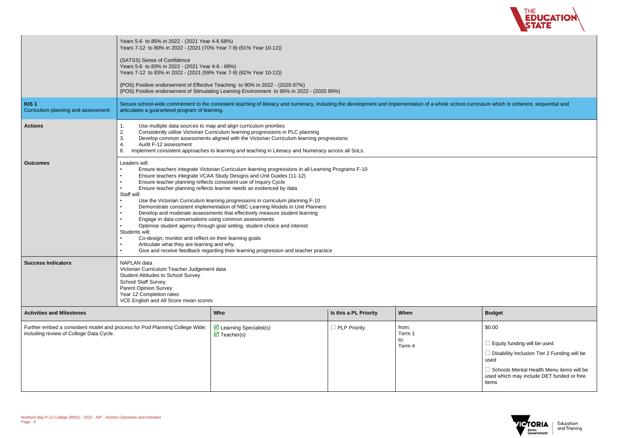

I curriculum which is coherent, sequential and

|                                                                                                                        | Years 5-6 to 85% in 2022 - (2021 Year 4-6 68%)<br>Years 7-12 to 80% in 2022 - (2021 (70% Year 7-9) (61% Year 10-12))                                                                                                                                                                                                                                                                                                                                                                                                                                                                                                                                                                                                                                                                                                                                                                                                                                                                                                                                     |                                                                                                                                                                            |                       |                                  |                                                                                |
|------------------------------------------------------------------------------------------------------------------------|----------------------------------------------------------------------------------------------------------------------------------------------------------------------------------------------------------------------------------------------------------------------------------------------------------------------------------------------------------------------------------------------------------------------------------------------------------------------------------------------------------------------------------------------------------------------------------------------------------------------------------------------------------------------------------------------------------------------------------------------------------------------------------------------------------------------------------------------------------------------------------------------------------------------------------------------------------------------------------------------------------------------------------------------------------|----------------------------------------------------------------------------------------------------------------------------------------------------------------------------|-----------------------|----------------------------------|--------------------------------------------------------------------------------|
|                                                                                                                        | (SATSS) Sense of Confidence<br>Years 5-6 to 83% in 2022 - (2021 Year 4-6 - 69%)<br>Years 7-12 to 83% in 2022 - (2021 (59% Year 7-9) (62% Year 10-12))                                                                                                                                                                                                                                                                                                                                                                                                                                                                                                                                                                                                                                                                                                                                                                                                                                                                                                    |                                                                                                                                                                            |                       |                                  |                                                                                |
|                                                                                                                        |                                                                                                                                                                                                                                                                                                                                                                                                                                                                                                                                                                                                                                                                                                                                                                                                                                                                                                                                                                                                                                                          | (POS) Positive endorsement of Effective Teaching to 90% in 2022 - (2020 87%)<br>(POS) Positive endorsement of Stimulating Learning Environment to 90% in 2022 - (2020 89%) |                       |                                  |                                                                                |
| KIS <sub>1</sub><br>Curriculum planning and assessment                                                                 | articulates a guaranteed program of learning.                                                                                                                                                                                                                                                                                                                                                                                                                                                                                                                                                                                                                                                                                                                                                                                                                                                                                                                                                                                                            | Secure school-wide commitment to the consistent teaching of literacy and numeracy, including the development and implementation of a whole school curriculum whic          |                       |                                  |                                                                                |
| <b>Actions</b>                                                                                                         | Use multiple data sources to map and align curriculum priorities<br>$\mathbf 1$ .<br>2.<br>Consistently utilise Victorian Curriculum learning progressions in PLC planning<br>3.<br>Develop common assessments aligned with the Victorian Curriculum learning progressions<br>4.<br>Audit F-12 assessment<br>Implement consistent approaches to learning and teaching in Literacy and Numeracy across all SoLs.<br>6.                                                                                                                                                                                                                                                                                                                                                                                                                                                                                                                                                                                                                                    |                                                                                                                                                                            |                       |                                  |                                                                                |
| <b>Outcomes</b>                                                                                                        | Leaders will:<br>Ensure teachers integrate Victorian Curriculum learning progressions in all Learning Programs F-10<br>$\bullet$<br>Ensure teachers integrate VCAA Study Designs and Unit Guides (11-12)<br>$\bullet$<br>Ensure teacher planning reflects consistent use of Inquiry Cycle<br>$\bullet$<br>Ensure teacher planning reflects learner needs as evidenced by data<br>Staff will:<br>Use the Victorian Curriculum learning progressions in curriculum planning F-10<br>$\bullet$<br>Demonstrate consistent implementation of NBC Learning Models in Unit Planners<br>$\bullet$<br>Develop and moderate assessments that effectively measure student learning<br>$\bullet$<br>Engage in data conversations using common assessments<br>Optimise student agency through goal setting, student choice and interest<br>Students will:<br>Co-design, monitor and reflect on their learning goals<br>Articulate what they are learning and why.<br>$\bullet$<br>Give and receive feedback regarding their learning progression and teacher practice |                                                                                                                                                                            |                       |                                  |                                                                                |
| <b>Success Indicators</b>                                                                                              | <b>NAPLAN</b> data<br>Victorian Curriculum Teacher Judgement data<br><b>Student Attitudes to School Survey</b><br><b>School Staff Survey</b><br><b>Parent Opinion Survey</b><br>Year 12 Completion rates<br>VCE English and All Score mean scores                                                                                                                                                                                                                                                                                                                                                                                                                                                                                                                                                                                                                                                                                                                                                                                                        |                                                                                                                                                                            |                       |                                  |                                                                                |
| <b>Activities and Milestones</b>                                                                                       |                                                                                                                                                                                                                                                                                                                                                                                                                                                                                                                                                                                                                                                                                                                                                                                                                                                                                                                                                                                                                                                          | Who                                                                                                                                                                        | Is this a PL Priority | When                             | <b>Budget</b>                                                                  |
| Further embed a consistent model and process for Pod Planning College Wide;<br>including review of College Data Cycle. |                                                                                                                                                                                                                                                                                                                                                                                                                                                                                                                                                                                                                                                                                                                                                                                                                                                                                                                                                                                                                                                          | $\triangleright$ Learning Specialist(s)<br>$\overline{\mathbf{y}}$ Teacher(s)                                                                                              | $\Box$ PLP Priority   | from:<br>Term 1<br>to:<br>Term 4 | \$0.00<br>$\Box$ Equi<br>$\Box$ Disa<br>used<br>$\Box$ Scho<br>used w<br>items |

| <b>Budget</b>                                                                                                                                                                        |
|--------------------------------------------------------------------------------------------------------------------------------------------------------------------------------------|
| \$0.00                                                                                                                                                                               |
| Equity funding will be used<br>Disability Inclusion Tier 2 Funding will be<br>used<br>Schools Mental Health Menu items will be<br>used which may include DET funded or free<br>items |

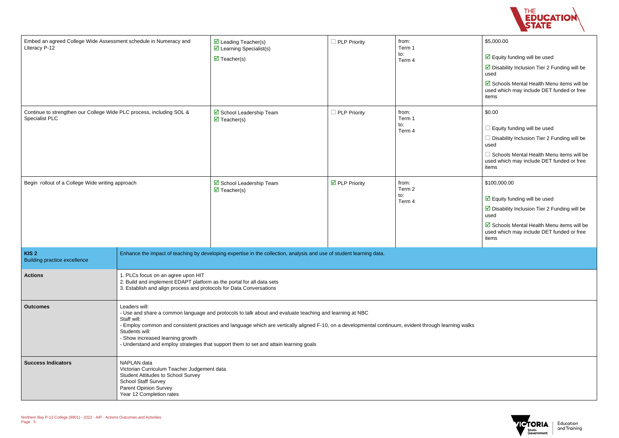| THE<br><b>EDUCATION</b> |  |
|-------------------------|--|
| <b>STATE</b>            |  |



| Embed an agreed College Wide Assessment schedule in Numeracy and<br>Literacy P-12                                                                                                                                              |                                                                                                                                                                                                                                                                                                                                                                                                                                                 | $\triangleright$ Leading Teacher(s)<br>$\triangleright$ Learning Specialist(s)<br>$\triangledown$ Teacher(s)         | $\Box$ PLP Priority          | from:<br>Term 1<br>to:<br>Term 4 | \$5,000.00<br>$\triangleright$ Equity funding will be used<br>$\triangleright$ Disability Inclusion Tier 2 Funding will be<br>used<br>Schools Mental Health Menu items will be<br>used which may include DET funded or free<br>items   |
|--------------------------------------------------------------------------------------------------------------------------------------------------------------------------------------------------------------------------------|-------------------------------------------------------------------------------------------------------------------------------------------------------------------------------------------------------------------------------------------------------------------------------------------------------------------------------------------------------------------------------------------------------------------------------------------------|----------------------------------------------------------------------------------------------------------------------|------------------------------|----------------------------------|----------------------------------------------------------------------------------------------------------------------------------------------------------------------------------------------------------------------------------------|
| Continue to strengthen our College Wide PLC process, including SOL &<br><b>Specialist PLC</b>                                                                                                                                  |                                                                                                                                                                                                                                                                                                                                                                                                                                                 | ☑ School Leadership Team<br>$\triangledown$ Teacher(s)                                                               | PLP Priority                 | from:<br>Term 1<br>to:<br>Term 4 | \$0.00<br>Equity funding will be used<br>$\Box$ Disability Inclusion Tier 2 Funding will be<br>used<br>$\Box$ Schools Mental Health Menu items will be<br>used which may include DET funded or free<br>items                           |
| Begin rollout of a College Wide writing approach                                                                                                                                                                               |                                                                                                                                                                                                                                                                                                                                                                                                                                                 | ☑ School Leadership Team<br>$\triangledown$ Teacher(s)                                                               | $\triangledown$ PLP Priority | from:<br>Term 2<br>to:<br>Term 4 | \$100,000.00<br>$\triangleright$ Equity funding will be used<br>$\triangleright$ Disability Inclusion Tier 2 Funding will be<br>used<br>Schools Mental Health Menu items will be<br>used which may include DET funded or free<br>items |
| KIS <sub>2</sub><br><b>Building practice excellence</b>                                                                                                                                                                        |                                                                                                                                                                                                                                                                                                                                                                                                                                                 | Enhance the impact of teaching by developing expertise in the collection, analysis and use of student learning data. |                              |                                  |                                                                                                                                                                                                                                        |
| <b>Actions</b>                                                                                                                                                                                                                 | 1. PLCs focus on an agree upon HIT<br>2. Build and implement EDAPT platform as the portal for all data sets<br>3. Establish and align process and protocols for Data Conversations                                                                                                                                                                                                                                                              |                                                                                                                      |                              |                                  |                                                                                                                                                                                                                                        |
| <b>Outcomes</b>                                                                                                                                                                                                                | Leaders will:<br>- Use and share a common language and protocols to talk about and evaluate teaching and learning at NBC<br>Staff will:<br>- Employ common and consistent practices and language which are vertically aligned F-10, on a developmental continuum, evident through learning walks<br>Students will:<br>- Show increased learning growth<br>- Understand and employ strategies that support them to set and attain learning goals |                                                                                                                      |                              |                                  |                                                                                                                                                                                                                                        |
| NAPLAN data<br><b>Success Indicators</b><br>Victorian Curriculum Teacher Judgement data<br><b>Student Attitudes to School Survey</b><br><b>School Staff Survey</b><br><b>Parent Opinion Survey</b><br>Year 12 Completion rates |                                                                                                                                                                                                                                                                                                                                                                                                                                                 |                                                                                                                      |                              |                                  |                                                                                                                                                                                                                                        |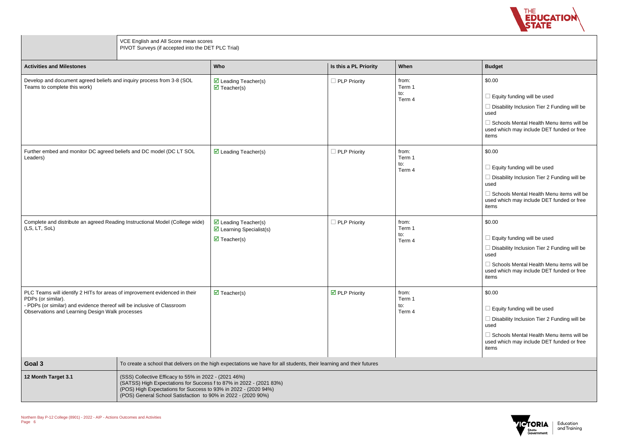

| <b>Budget</b>                                                                                         |
|-------------------------------------------------------------------------------------------------------|
| \$0.00                                                                                                |
| $\Box$ Equity funding will be used                                                                    |
| $\Box$ Disability Inclusion Tier 2 Funding will be<br>used                                            |
| $\Box$ Schools Mental Health Menu items will be<br>used which may include DET funded or free<br>items |
| \$0.00                                                                                                |
| Equity funding will be used                                                                           |
| $\Box$ Disability Inclusion Tier 2 Funding will be<br>used                                            |
| $\Box$ Schools Mental Health Menu items will be<br>used which may include DET funded or free<br>items |
| \$0.00                                                                                                |
| $\Box$ Equity funding will be used                                                                    |
| $\Box$ Disability Inclusion Tier 2 Funding will be<br>used                                            |
| Schools Mental Health Menu items will be<br>used which may include DET funded or free<br>items        |
| \$0.00                                                                                                |
| $\Box$ Equity funding will be used                                                                    |
| Disability Inclusion Tier 2 Funding will be<br>used                                                   |
| $\Box$ Schools Mental Health Menu items will be<br>used which may include DET funded or free<br>items |
|                                                                                                       |
|                                                                                                       |



|                                                                                                                                                                                                                                | VCE English and All Score mean scores<br>PIVOT Surveys (if accepted into the DET PLC Trial)                                                                                                                                                                      |                                                                                                                       |                                     |                                  |                                                                                    |
|--------------------------------------------------------------------------------------------------------------------------------------------------------------------------------------------------------------------------------|------------------------------------------------------------------------------------------------------------------------------------------------------------------------------------------------------------------------------------------------------------------|-----------------------------------------------------------------------------------------------------------------------|-------------------------------------|----------------------------------|------------------------------------------------------------------------------------|
| <b>Activities and Milestones</b>                                                                                                                                                                                               |                                                                                                                                                                                                                                                                  | Who                                                                                                                   | Is this a PL Priority               | When                             | <b>Budget</b>                                                                      |
| Develop and document agreed beliefs and inquiry process from 3-8 (SOL<br>Teams to complete this work)                                                                                                                          |                                                                                                                                                                                                                                                                  | $\triangleright$ Leading Teacher(s)<br>$\triangledown$ Teacher(s)                                                     | $\Box$ PLP Priority                 | from:<br>Term 1<br>to:<br>Term 4 | \$0.00<br>$\square$ Equi<br>$\Box$ Disa<br>used<br>$\Box$ Scho<br>used wl<br>items |
| Further embed and monitor DC agreed beliefs and DC model (DC LT SOL<br>Leaders)                                                                                                                                                |                                                                                                                                                                                                                                                                  | $\triangleright$ Leading Teacher(s)                                                                                   | $\Box$ PLP Priority                 | from:<br>Term 1<br>to:<br>Term 4 | \$0.00<br>$\Box$ Equi<br>$\Box$ Disa<br>used<br>$\Box$ Scho<br>used wl<br>items    |
| Complete and distribute an agreed Reading Instructional Model (College wide)<br>(LS, LT, SoL)                                                                                                                                  |                                                                                                                                                                                                                                                                  | $\triangleright$ Leading Teacher(s)<br>$\triangleright$ Learning Specialist(s)<br>$\overline{\mathcal{A}}$ Teacher(s) | $\Box$ PLP Priority                 | from:<br>Term 1<br>to:<br>Term 4 | \$0.00<br>$\Box$ Equi<br>$\Box$ Disa<br>used<br>$\Box$ Scho<br>used w<br>items     |
| PLC Teams will identify 2 HITs for areas of improvement evidenced in their<br>PDPs (or similar).<br>- PDPs (or similar) and evidence thereof will be inclusive of Classroom<br>Observations and Learning Design Walk processes |                                                                                                                                                                                                                                                                  | $\overline{\mathbf{M}}$ Teacher(s)                                                                                    | $\overline{\boxtimes}$ PLP Priority | from:<br>Term 1<br>to:<br>Term 4 | \$0.00<br>$\Box$ Equi<br>$\Box$ Disa<br>used<br>$\Box$ Scho<br>used w<br>items     |
| Goal 3                                                                                                                                                                                                                         |                                                                                                                                                                                                                                                                  | To create a school that delivers on the high expectations we have for all students, their learning and their futures  |                                     |                                  |                                                                                    |
| 12 Month Target 3.1                                                                                                                                                                                                            | (SSS) Collective Efficacy to 55% in 2022 - (2021 46%)<br>(SATSS) High Expectations for Success f to 87% in 2022 - (2021 83%)<br>(POS) High Expectations for Success to 93% in 2022 - (2020 94%)<br>(POS) General School Satisfaction to 90% in 2022 - (2020 90%) |                                                                                                                       |                                     |                                  |                                                                                    |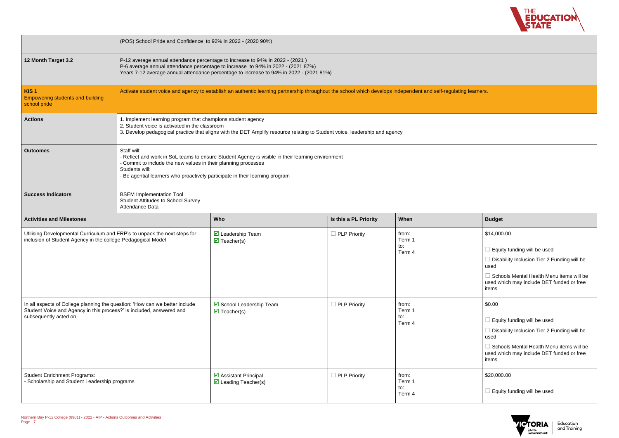

| <b>Budget</b>                                                                                         |
|-------------------------------------------------------------------------------------------------------|
| \$14,000.00                                                                                           |
| $\Box$ Equity funding will be used                                                                    |
| $\Box$ Disability Inclusion Tier 2 Funding will be<br>used                                            |
| $\Box$ Schools Mental Health Menu items will be<br>used which may include DET funded or free<br>items |
| \$0.00                                                                                                |
| $\Box$ Equity funding will be used                                                                    |
| $\Box$ Disability Inclusion Tier 2 Funding will be<br>used                                            |
| $\Box$ Schools Mental Health Menu items will be<br>used which may include DET funded or free<br>items |
| \$20,000.00                                                                                           |
| Equity funding will be used                                                                           |
|                                                                                                       |



|                                                                                                                                                                              | (POS) School Pride and Confidence to 92% in 2022 - (2020 90%)                                                                                                                                                                                                                        |                                                                                                                                                                 |                       |                                  |                                                                                     |
|------------------------------------------------------------------------------------------------------------------------------------------------------------------------------|--------------------------------------------------------------------------------------------------------------------------------------------------------------------------------------------------------------------------------------------------------------------------------------|-----------------------------------------------------------------------------------------------------------------------------------------------------------------|-----------------------|----------------------------------|-------------------------------------------------------------------------------------|
| 12 Month Target 3.2                                                                                                                                                          | P-12 average annual attendance percentage to increase to 94% in 2022 - (2021)<br>P-6 average annual attendance percentage to increase to 94% in 2022 - (2021 87%)<br>Years 7-12 average annual attendance percentage to increase to 94% in 2022 - (2021 81%)                         |                                                                                                                                                                 |                       |                                  |                                                                                     |
| KIS <sub>1</sub><br><b>Empowering students and building</b><br>school pride                                                                                                  |                                                                                                                                                                                                                                                                                      | Activate student voice and agency to establish an authentic learning partnership throughout the school which develops independent and self-regulating learners. |                       |                                  |                                                                                     |
| <b>Actions</b>                                                                                                                                                               | 1. Implement learning program that champions student agency<br>2. Student voice is activated in the classroom<br>3. Develop pedagogical practice that aligns with the DET Amplify resource relating to Student voice, leadership and agency                                          |                                                                                                                                                                 |                       |                                  |                                                                                     |
| <b>Outcomes</b>                                                                                                                                                              | Staff will:<br>- Reflect and work in SoL teams to ensure Student Agency is visible in their learning environment<br>- Commit to include the new values in their planning processes<br>Students will:<br>- Be agential learners who proactively participate in their learning program |                                                                                                                                                                 |                       |                                  |                                                                                     |
| <b>Success Indicators</b>                                                                                                                                                    | <b>BSEM Implementation Tool</b><br><b>Student Attitudes to School Survey</b><br>Attendance Data                                                                                                                                                                                      |                                                                                                                                                                 |                       |                                  |                                                                                     |
| <b>Activities and Milestones</b>                                                                                                                                             |                                                                                                                                                                                                                                                                                      | Who                                                                                                                                                             | Is this a PL Priority | When                             | <b>Budget</b>                                                                       |
| Utilising Developmental Curriculum and ERP's to unpack the next steps for<br>inclusion of Student Agency in the college Pedagogical Model                                    |                                                                                                                                                                                                                                                                                      | $\triangledown$ Leadership Team<br>$\overline{\mathbf{M}}$ Teacher(s)                                                                                           | $\Box$ PLP Priority   | from:<br>Term 1<br>to:<br>Term 4 | \$14,000<br>$\square$ Equi<br>$\Box$ Disa<br>used<br>$\Box$ Scho<br>used w<br>items |
| In all aspects of College planning the question: 'How can we better include<br>Student Voice and Agency in this process?' is included, answered and<br>subsequently acted on |                                                                                                                                                                                                                                                                                      | ☑ School Leadership Team<br>$\overline{\mathbf{M}}$ Teacher(s)                                                                                                  | $\Box$ PLP Priority   | from:<br>Term 1<br>to:<br>Term 4 | \$0.00<br>$\Box$ Equi<br>$\Box$ Disa<br>used<br>$\Box$ Scho<br>used w<br>items      |
| <b>Student Enrichment Programs:</b><br>- Scholarship and Student Leadership programs                                                                                         |                                                                                                                                                                                                                                                                                      | $\triangleright$ Assistant Principal<br>$\triangleright$ Leading Teacher(s)                                                                                     | $\Box$ PLP Priority   | from:<br>Term 1<br>to:<br>Term 4 | \$20,000<br>$\Box$ Equi                                                             |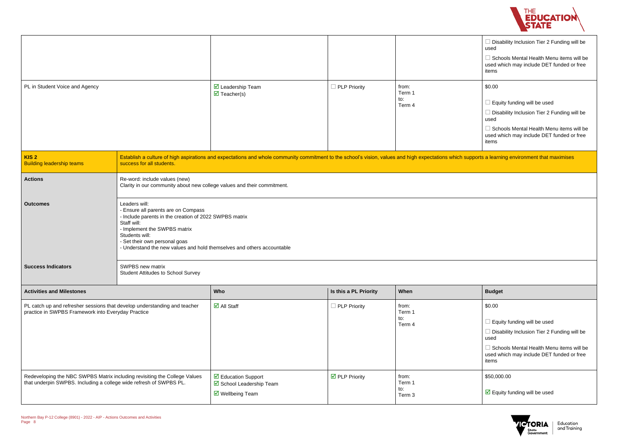

|                                               | Disability Inclusion Tier 2 Funding will be<br>used                                            |  |  |
|-----------------------------------------------|------------------------------------------------------------------------------------------------|--|--|
|                                               | Schools Mental Health Menu items will be<br>used which may include DET funded or free<br>items |  |  |
|                                               | \$0.00                                                                                         |  |  |
|                                               | Equity funding will be used                                                                    |  |  |
|                                               | Disability Inclusion Tier 2 Funding will be<br>used                                            |  |  |
|                                               | Schools Mental Health Menu items will be<br>used which may include DET funded or free<br>items |  |  |
| upports a learning environment that maximises |                                                                                                |  |  |

| <b>Budget</b>                                                                                  |
|------------------------------------------------------------------------------------------------|
| \$0.00                                                                                         |
| Equity funding will be used                                                                    |
| Disability Inclusion Tier 2 Funding will be<br>used                                            |
| Schools Mental Health Menu items will be<br>used which may include DET funded or free<br>items |
| \$50,000.00                                                                                    |
| $\boxtimes$ Equity funding will be used                                                        |
|                                                                                                |



| PL in Student Voice and Agency                                                                                                                  |                                                                                                                                                                                                                                                                                            | $\overline{\mathbf{M}}$ Leadership Team<br>$\overline{\mathbf{M}}$ Teacher(s)     | $\Box$ PLP Priority           | from:<br>Term 1<br>to:<br>Term 4 | Disability Inclusion Tier 2 Funding w<br>used<br>$\Box$ Schools Mental Health Menu items v<br>used which may include DET funded or<br>items<br>\$0.00<br>Equity funding will be used<br>Disability Inclusion Tier 2 Funding w<br>used<br>$\Box$ Schools Mental Health Menu items v<br>used which may include DET funded or<br>items |  |
|-------------------------------------------------------------------------------------------------------------------------------------------------|--------------------------------------------------------------------------------------------------------------------------------------------------------------------------------------------------------------------------------------------------------------------------------------------|-----------------------------------------------------------------------------------|-------------------------------|----------------------------------|-------------------------------------------------------------------------------------------------------------------------------------------------------------------------------------------------------------------------------------------------------------------------------------------------------------------------------------|--|
| KIS <sub>2</sub><br><b>Building leadership teams</b>                                                                                            | Establish a culture of high aspirations and expectations and whole community commitment to the school's vision, values and high expectations which supports a learning environment that maximises<br>success for all students.                                                             |                                                                                   |                               |                                  |                                                                                                                                                                                                                                                                                                                                     |  |
| <b>Actions</b>                                                                                                                                  | Re-word: include values (new)                                                                                                                                                                                                                                                              | Clarity in our community about new college values and their commitment.           |                               |                                  |                                                                                                                                                                                                                                                                                                                                     |  |
| <b>Outcomes</b>                                                                                                                                 | Leaders will:<br>- Ensure all parents are on Compass<br>- Include parents in the creation of 2022 SWPBS matrix<br>Staff will:<br>- Implement the SWPBS matrix<br>Students will:<br>- Set their own personal goas<br>- Understand the new values and hold themselves and others accountable |                                                                                   |                               |                                  |                                                                                                                                                                                                                                                                                                                                     |  |
| <b>Success Indicators</b>                                                                                                                       | SWPBS new matrix<br><b>Student Attitudes to School Survey</b>                                                                                                                                                                                                                              |                                                                                   |                               |                                  |                                                                                                                                                                                                                                                                                                                                     |  |
| <b>Activities and Milestones</b>                                                                                                                |                                                                                                                                                                                                                                                                                            | Who                                                                               | Is this a PL Priority         | When                             | <b>Budget</b>                                                                                                                                                                                                                                                                                                                       |  |
| PL catch up and refresher sessions that develop understanding and teacher<br>practice in SWPBS Framework into Everyday Practice                 |                                                                                                                                                                                                                                                                                            | $\overline{\mathsf{d}}$ All Staff                                                 | $\Box$ PLP Priority           | from:<br>Term 1<br>to:<br>Term 4 | \$0.00<br>Equity funding will be used<br>$\exists$ Disability Inclusion Tier 2 Funding w<br>used<br>Schools Mental Health Menu items v<br>used which may include DET funded or<br>items                                                                                                                                             |  |
| Redeveloping the NBC SWPBS Matrix including revisiting the College Values<br>that underpin SWPBS. Including a college wide refresh of SWPBS PL. |                                                                                                                                                                                                                                                                                            | ☑ Education Support<br>☑ School Leadership Team<br>$\triangledown$ Wellbeing Team | $\triangleright$ PLP Priority | from:<br>Term 1<br>to:<br>Term 3 | \$50,000.00<br>$\boxdot$ Equity funding will be used                                                                                                                                                                                                                                                                                |  |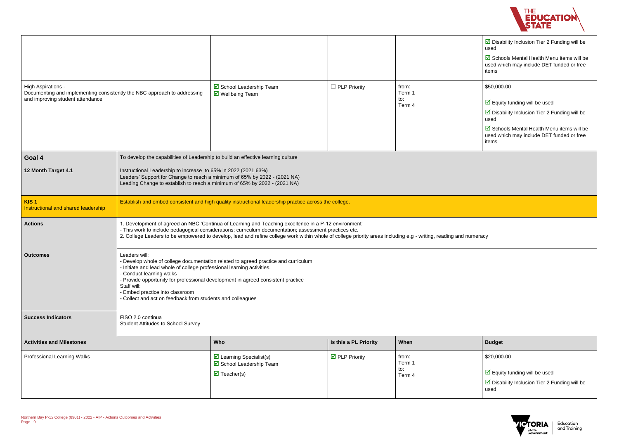

| $\boxtimes$ Disability Inclusion Tier 2 Funding will be<br>used                                  |
|--------------------------------------------------------------------------------------------------|
| ☑ Schools Mental Health Menu items will be<br>used which may include DET funded or free<br>items |
| \$50,000.00                                                                                      |
| $\triangleright$ Equity funding will be used                                                     |
| $\boxtimes$ Disability Inclusion Tier 2 Funding will be<br>used                                  |
| ■ Schools Mental Health Menu items will be<br>used which may include DET funded or free<br>items |



|                                                                                                                                    |                                                                                                                                                                                                                                                                                                                                                                                                               |                                                                                                           |                                      |                                  | $\triangleright$ Disability Inclusion Tier 2 Funding will be<br>used<br>Schools Mental Health Menu items will be<br>used which may include DET funded or free<br>items                                                                                 |  |
|------------------------------------------------------------------------------------------------------------------------------------|---------------------------------------------------------------------------------------------------------------------------------------------------------------------------------------------------------------------------------------------------------------------------------------------------------------------------------------------------------------------------------------------------------------|-----------------------------------------------------------------------------------------------------------|--------------------------------------|----------------------------------|--------------------------------------------------------------------------------------------------------------------------------------------------------------------------------------------------------------------------------------------------------|--|
| High Aspirations -<br>Documenting and implementing consistently the NBC approach to addressing<br>and improving student attendance |                                                                                                                                                                                                                                                                                                                                                                                                               | ☑ School Leadership Team<br>$\triangledown$ Wellbeing Team                                                | $\Box$ PLP Priority                  | from:<br>Term 1<br>to:<br>Term 4 | \$50,000.00<br>$\triangleright$ Equity funding will be used<br>$\triangleright$ Disability Inclusion Tier 2 Funding will be<br>used<br>$\triangleright$ Schools Mental Health Menu items will be<br>used which may include DET funded or free<br>items |  |
| Goal 4                                                                                                                             | To develop the capabilities of Leadership to build an effective learning culture                                                                                                                                                                                                                                                                                                                              |                                                                                                           |                                      |                                  |                                                                                                                                                                                                                                                        |  |
| 12 Month Target 4.1                                                                                                                | Instructional Leadership to increase to 65% in 2022 (2021 63%)<br>Leaders' Support for Change to reach a minimum of 65% by 2022 - (2021 NA)<br>Leading Change to establish to reach a minimum of 65% by 2022 - (2021 NA)                                                                                                                                                                                      |                                                                                                           |                                      |                                  |                                                                                                                                                                                                                                                        |  |
| KIS <sub>1</sub><br>Instructional and shared leadership                                                                            |                                                                                                                                                                                                                                                                                                                                                                                                               | Establish and embed consistent and high quality instructional leadership practice across the college.     |                                      |                                  |                                                                                                                                                                                                                                                        |  |
| <b>Actions</b>                                                                                                                     | . Development of agreed an NBC 'Continua of Learning and Teaching excellence in a P-12 environment'<br>- This work to include pedagogical considerations; curriculum documentation; assessment practices etc.<br>2. College Leaders to be empowered to develop, lead and refine college work within whole of college priority areas including e.g - writing, reading and numeracy                             |                                                                                                           |                                      |                                  |                                                                                                                                                                                                                                                        |  |
| <b>Outcomes</b>                                                                                                                    | Leaders will:<br>- Develop whole of college documentation related to agreed practice and curriculum<br>- Initiate and lead whole of college professional learning activities.<br>- Conduct learning walks<br>- Provide opportunity for professional development in agreed consistent practice<br>Staff will:<br>- Embed practice into classroom<br>- Collect and act on feedback from students and colleagues |                                                                                                           |                                      |                                  |                                                                                                                                                                                                                                                        |  |
| <b>Success Indicators</b>                                                                                                          | FISO 2.0 continua<br><b>Student Attitudes to School Survey</b>                                                                                                                                                                                                                                                                                                                                                |                                                                                                           |                                      |                                  |                                                                                                                                                                                                                                                        |  |
| <b>Activities and Milestones</b>                                                                                                   |                                                                                                                                                                                                                                                                                                                                                                                                               | Who                                                                                                       | Is this a PL Priority                | When                             | <b>Budget</b>                                                                                                                                                                                                                                          |  |
| Professional Learning Walks                                                                                                        |                                                                                                                                                                                                                                                                                                                                                                                                               | $\triangleright$ Learning Specialist(s)<br>☑ School Leadership Team<br>$\overline{\mathbf{y}}$ Teacher(s) | $\overline{\mathbf{M}}$ PLP Priority | from:<br>Term 1<br>to:<br>Term 4 | \$20,000.00<br>$\triangleright$ Equity funding will be used<br>$\triangleright$ Disability Inclusion Tier 2 Funding will be<br>used                                                                                                                    |  |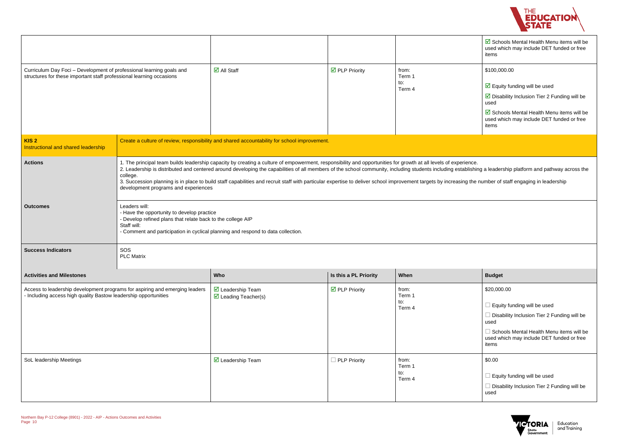



|                                                                                                                                              |                                                                                                                                           |                                                                                                                                                                                                                                                                                                                                                                                                                                                                                                                                                                                             |                                      |                                  | Schools Mental Health Menu items will be<br>used which may include DET funded or free<br>items                                                                                                                                              |
|----------------------------------------------------------------------------------------------------------------------------------------------|-------------------------------------------------------------------------------------------------------------------------------------------|---------------------------------------------------------------------------------------------------------------------------------------------------------------------------------------------------------------------------------------------------------------------------------------------------------------------------------------------------------------------------------------------------------------------------------------------------------------------------------------------------------------------------------------------------------------------------------------------|--------------------------------------|----------------------------------|---------------------------------------------------------------------------------------------------------------------------------------------------------------------------------------------------------------------------------------------|
| Curriculum Day Foci - Development of professional learning goals and<br>structures for these important staff professional learning occasions |                                                                                                                                           | $\overline{\Box}$ All Staff                                                                                                                                                                                                                                                                                                                                                                                                                                                                                                                                                                 | $\overline{\mathbf{M}}$ PLP Priority | from:<br>Term 1<br>to:<br>Term 4 | \$100,000.00<br>$\boxed{\triangle}$ Equity funding will be used<br>$\triangleright$ Disability Inclusion Tier 2 Funding will be<br>used<br>☑ Schools Mental Health Menu items will be<br>used which may include DET funded or free<br>items |
| KIS <sub>2</sub><br>Instructional and shared leadership                                                                                      |                                                                                                                                           | Create a culture of review, responsibility and shared accountability for school improvement.                                                                                                                                                                                                                                                                                                                                                                                                                                                                                                |                                      |                                  |                                                                                                                                                                                                                                             |
| <b>Actions</b><br>college.<br>development programs and experiences                                                                           |                                                                                                                                           | 1. The principal team builds leadership capacity by creating a culture of empowerment, responsibility and opportunities for growth at all levels of experience.<br>2. Leadership is distributed and centered around developing the capabilities of all members of the school community, including students including establishing a leadership platform and pathway across the<br>3. Succession planning is in place to build staff capabilities and recruit staff with particular expertise to deliver school improvement targets by increasing the number of staff engaging in leadership |                                      |                                  |                                                                                                                                                                                                                                             |
| <b>Outcomes</b>                                                                                                                              | Leaders will:<br>- Have the opportunity to develop practice<br>- Develop refined plans that relate back to the college AIP<br>Staff will: | - Comment and participation in cyclical planning and respond to data collection.                                                                                                                                                                                                                                                                                                                                                                                                                                                                                                            |                                      |                                  |                                                                                                                                                                                                                                             |
| <b>Success Indicators</b>                                                                                                                    | SOS<br><b>PLC Matrix</b>                                                                                                                  |                                                                                                                                                                                                                                                                                                                                                                                                                                                                                                                                                                                             |                                      |                                  |                                                                                                                                                                                                                                             |
| <b>Activities and Milestones</b>                                                                                                             |                                                                                                                                           | Who                                                                                                                                                                                                                                                                                                                                                                                                                                                                                                                                                                                         | Is this a PL Priority                | When                             | <b>Budget</b>                                                                                                                                                                                                                               |
| Access to leadership development programs for aspiring and emerging leaders<br>Including access high quality Bastow leadership opportunities |                                                                                                                                           | $\overline{\mathbf{M}}$ Leadership Team<br>$\triangledown$ Leading Teacher(s)                                                                                                                                                                                                                                                                                                                                                                                                                                                                                                               | $\overline{\mathbf{M}}$ PLP Priority | from:<br>Term 1<br>to:<br>Term 4 | \$20,000.00<br>Equity funding will be used<br>Disability Inclusion Tier 2 Funding will be<br>used<br>Schools Mental Health Menu items will be<br>used which may include DET funded or free<br>items                                         |
| SoL leadership Meetings                                                                                                                      |                                                                                                                                           | $\triangledown$ Leadership Team                                                                                                                                                                                                                                                                                                                                                                                                                                                                                                                                                             | $\Box$ PLP Priority                  | from:<br>Term 1<br>to:<br>Term 4 | \$0.00<br>Equity funding will be used<br>Disability Inclusion Tier 2 Funding will be<br>used                                                                                                                                                |